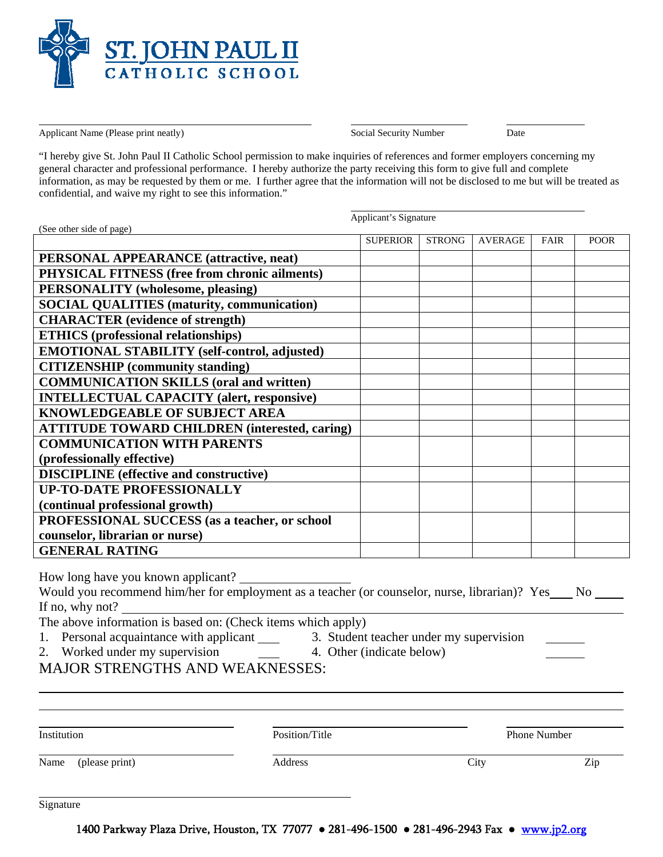

Applicant Name (Please print neatly) Social Security Number Date

 $\overline{a}$ 

"I hereby give St. John Paul II Catholic School permission to make inquiries of references and former employers concerning my general character and professional performance. I hereby authorize the party receiving this form to give full and complete information, as may be requested by them or me. I further agree that the information will not be disclosed to me but will be treated as confidential, and waive my right to see this information."

Applicant's Signature

| <b>SUPERIOR</b><br><b>STRONG</b><br><b>AVERAGE</b><br><b>POOR</b><br><b>FAIR</b><br><b>PERSONAL APPEARANCE</b> (attractive, neat)<br>PHYSICAL FITNESS (free from chronic ailments)<br><b>PERSONALITY</b> (wholesome, pleasing)<br><b>SOCIAL QUALITIES (maturity, communication)</b><br><b>CHARACTER</b> (evidence of strength)<br><b>ETHICS</b> (professional relationships)<br>EMOTIONAL STABILITY (self-control, adjusted)<br><b>CITIZENSHIP</b> (community standing)<br><b>COMMUNICATION SKILLS (oral and written)</b><br><b>INTELLECTUAL CAPACITY (alert, responsive)</b><br><b>KNOWLEDGEABLE OF SUBJECT AREA</b><br><b>ATTITUDE TOWARD CHILDREN (interested, caring)</b><br><b>COMMUNICATION WITH PARENTS</b><br>(professionally effective)<br><b>DISCIPLINE</b> (effective and constructive)<br><b>UP-TO-DATE PROFESSIONALLY</b><br>(continual professional growth)<br>PROFESSIONAL SUCCESS (as a teacher, or school<br>counselor, librarian or nurse)<br><b>GENERAL RATING</b><br>How long have you known applicant?<br>Would you recommend him/her for employment as a teacher (or counselor, nurse, librarian)? Yes No<br>If no, why not?<br>The above information is based on: (Check items which apply)<br>2. Worked under my supervision 1. Other (indicate below)<br><b>MAJOR STRENGTHS AND WEAKNESSES:</b> | (See other side of page) |  |  |  |
|--------------------------------------------------------------------------------------------------------------------------------------------------------------------------------------------------------------------------------------------------------------------------------------------------------------------------------------------------------------------------------------------------------------------------------------------------------------------------------------------------------------------------------------------------------------------------------------------------------------------------------------------------------------------------------------------------------------------------------------------------------------------------------------------------------------------------------------------------------------------------------------------------------------------------------------------------------------------------------------------------------------------------------------------------------------------------------------------------------------------------------------------------------------------------------------------------------------------------------------------------------------------------------------------------------------------------|--------------------------|--|--|--|
|                                                                                                                                                                                                                                                                                                                                                                                                                                                                                                                                                                                                                                                                                                                                                                                                                                                                                                                                                                                                                                                                                                                                                                                                                                                                                                                          |                          |  |  |  |
|                                                                                                                                                                                                                                                                                                                                                                                                                                                                                                                                                                                                                                                                                                                                                                                                                                                                                                                                                                                                                                                                                                                                                                                                                                                                                                                          |                          |  |  |  |
|                                                                                                                                                                                                                                                                                                                                                                                                                                                                                                                                                                                                                                                                                                                                                                                                                                                                                                                                                                                                                                                                                                                                                                                                                                                                                                                          |                          |  |  |  |
|                                                                                                                                                                                                                                                                                                                                                                                                                                                                                                                                                                                                                                                                                                                                                                                                                                                                                                                                                                                                                                                                                                                                                                                                                                                                                                                          |                          |  |  |  |
|                                                                                                                                                                                                                                                                                                                                                                                                                                                                                                                                                                                                                                                                                                                                                                                                                                                                                                                                                                                                                                                                                                                                                                                                                                                                                                                          |                          |  |  |  |
|                                                                                                                                                                                                                                                                                                                                                                                                                                                                                                                                                                                                                                                                                                                                                                                                                                                                                                                                                                                                                                                                                                                                                                                                                                                                                                                          |                          |  |  |  |
|                                                                                                                                                                                                                                                                                                                                                                                                                                                                                                                                                                                                                                                                                                                                                                                                                                                                                                                                                                                                                                                                                                                                                                                                                                                                                                                          |                          |  |  |  |
|                                                                                                                                                                                                                                                                                                                                                                                                                                                                                                                                                                                                                                                                                                                                                                                                                                                                                                                                                                                                                                                                                                                                                                                                                                                                                                                          |                          |  |  |  |
|                                                                                                                                                                                                                                                                                                                                                                                                                                                                                                                                                                                                                                                                                                                                                                                                                                                                                                                                                                                                                                                                                                                                                                                                                                                                                                                          |                          |  |  |  |
|                                                                                                                                                                                                                                                                                                                                                                                                                                                                                                                                                                                                                                                                                                                                                                                                                                                                                                                                                                                                                                                                                                                                                                                                                                                                                                                          |                          |  |  |  |
|                                                                                                                                                                                                                                                                                                                                                                                                                                                                                                                                                                                                                                                                                                                                                                                                                                                                                                                                                                                                                                                                                                                                                                                                                                                                                                                          |                          |  |  |  |
|                                                                                                                                                                                                                                                                                                                                                                                                                                                                                                                                                                                                                                                                                                                                                                                                                                                                                                                                                                                                                                                                                                                                                                                                                                                                                                                          |                          |  |  |  |
|                                                                                                                                                                                                                                                                                                                                                                                                                                                                                                                                                                                                                                                                                                                                                                                                                                                                                                                                                                                                                                                                                                                                                                                                                                                                                                                          |                          |  |  |  |
|                                                                                                                                                                                                                                                                                                                                                                                                                                                                                                                                                                                                                                                                                                                                                                                                                                                                                                                                                                                                                                                                                                                                                                                                                                                                                                                          |                          |  |  |  |
|                                                                                                                                                                                                                                                                                                                                                                                                                                                                                                                                                                                                                                                                                                                                                                                                                                                                                                                                                                                                                                                                                                                                                                                                                                                                                                                          |                          |  |  |  |
|                                                                                                                                                                                                                                                                                                                                                                                                                                                                                                                                                                                                                                                                                                                                                                                                                                                                                                                                                                                                                                                                                                                                                                                                                                                                                                                          |                          |  |  |  |
|                                                                                                                                                                                                                                                                                                                                                                                                                                                                                                                                                                                                                                                                                                                                                                                                                                                                                                                                                                                                                                                                                                                                                                                                                                                                                                                          |                          |  |  |  |
|                                                                                                                                                                                                                                                                                                                                                                                                                                                                                                                                                                                                                                                                                                                                                                                                                                                                                                                                                                                                                                                                                                                                                                                                                                                                                                                          |                          |  |  |  |
|                                                                                                                                                                                                                                                                                                                                                                                                                                                                                                                                                                                                                                                                                                                                                                                                                                                                                                                                                                                                                                                                                                                                                                                                                                                                                                                          |                          |  |  |  |
|                                                                                                                                                                                                                                                                                                                                                                                                                                                                                                                                                                                                                                                                                                                                                                                                                                                                                                                                                                                                                                                                                                                                                                                                                                                                                                                          |                          |  |  |  |
|                                                                                                                                                                                                                                                                                                                                                                                                                                                                                                                                                                                                                                                                                                                                                                                                                                                                                                                                                                                                                                                                                                                                                                                                                                                                                                                          |                          |  |  |  |
|                                                                                                                                                                                                                                                                                                                                                                                                                                                                                                                                                                                                                                                                                                                                                                                                                                                                                                                                                                                                                                                                                                                                                                                                                                                                                                                          |                          |  |  |  |
|                                                                                                                                                                                                                                                                                                                                                                                                                                                                                                                                                                                                                                                                                                                                                                                                                                                                                                                                                                                                                                                                                                                                                                                                                                                                                                                          |                          |  |  |  |
|                                                                                                                                                                                                                                                                                                                                                                                                                                                                                                                                                                                                                                                                                                                                                                                                                                                                                                                                                                                                                                                                                                                                                                                                                                                                                                                          |                          |  |  |  |
|                                                                                                                                                                                                                                                                                                                                                                                                                                                                                                                                                                                                                                                                                                                                                                                                                                                                                                                                                                                                                                                                                                                                                                                                                                                                                                                          |                          |  |  |  |
|                                                                                                                                                                                                                                                                                                                                                                                                                                                                                                                                                                                                                                                                                                                                                                                                                                                                                                                                                                                                                                                                                                                                                                                                                                                                                                                          |                          |  |  |  |
|                                                                                                                                                                                                                                                                                                                                                                                                                                                                                                                                                                                                                                                                                                                                                                                                                                                                                                                                                                                                                                                                                                                                                                                                                                                                                                                          |                          |  |  |  |
|                                                                                                                                                                                                                                                                                                                                                                                                                                                                                                                                                                                                                                                                                                                                                                                                                                                                                                                                                                                                                                                                                                                                                                                                                                                                                                                          |                          |  |  |  |
|                                                                                                                                                                                                                                                                                                                                                                                                                                                                                                                                                                                                                                                                                                                                                                                                                                                                                                                                                                                                                                                                                                                                                                                                                                                                                                                          |                          |  |  |  |
|                                                                                                                                                                                                                                                                                                                                                                                                                                                                                                                                                                                                                                                                                                                                                                                                                                                                                                                                                                                                                                                                                                                                                                                                                                                                                                                          |                          |  |  |  |
|                                                                                                                                                                                                                                                                                                                                                                                                                                                                                                                                                                                                                                                                                                                                                                                                                                                                                                                                                                                                                                                                                                                                                                                                                                                                                                                          |                          |  |  |  |

| Institution         | Position/Title |      | Phone Number |  |  |
|---------------------|----------------|------|--------------|--|--|
| Name (please print) | Address        | City | Zip          |  |  |
|                     |                |      |              |  |  |

Signature

1400 Parkway Plaza Drive, Houston, TX 77077 ● 281-496-1500 ● 281-496-2943 Fax ● www.jp2.org